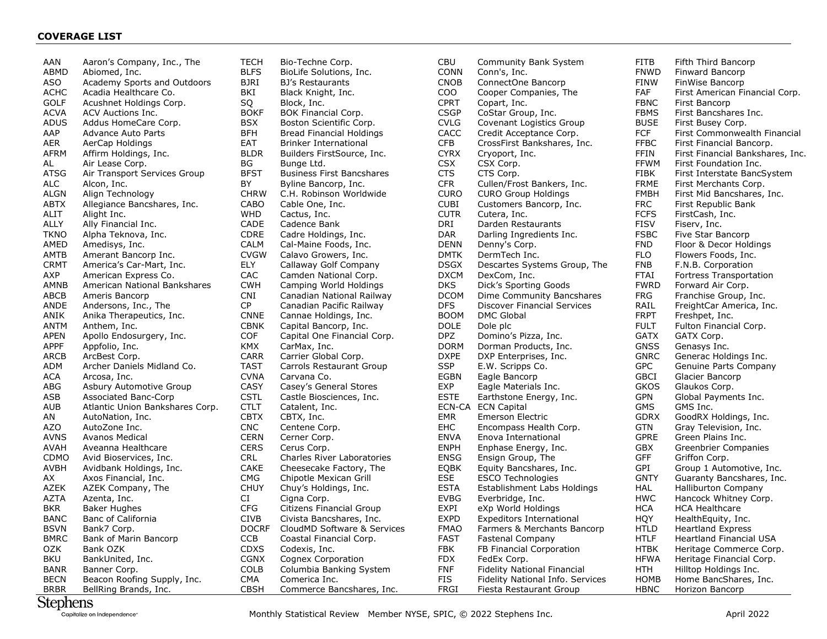## **COVERAGE LIST**

| AAN         | Aaron's Company, Inc., The                  |
|-------------|---------------------------------------------|
| ABMD        | Abiomed, Inc.                               |
| ASO         | Academy Sports and Outdoors                 |
| ACHC        | Acadia Healthcare Co.                       |
| GOLF        | Acushnet Holdings Corp.                     |
| ACVA        | ACV Auctions Inc.                           |
| ADUS        | Addus HomeCare Corp.                        |
| AAP         | Advance Auto Parts                          |
| AER         | AerCap Holdings                             |
| AFRM        | Affirm Holdings, Inc.                       |
| AL          | Air Lease Corp.                             |
| ATSG        | Air Transport Services Group                |
| ALC         | Alcon, Inc.                                 |
| <b>ALGN</b> | Align Technology                            |
| ABTX        | Allegiance Bancshares, Inc.                 |
| ALIT        | Alight Inc.                                 |
| ALLY        | Ally Financial Inc.                         |
| TKNO        | Alpha Teknova, Inc.                         |
| AMED        | Amedisys, Inc.                              |
| AMTB        | Amerant Bancorp Inc.                        |
| CRMT        | America's Car-Mart, Inc.                    |
| AXP         | American Express Co.                        |
| AMNB        | American National Bankshares                |
| ABCB        | Ameris Bancorp                              |
| ANDE        | Andersons, Inc., The                        |
| ANIK        | Anika Therapeutics, Inc.                    |
| ANTM        | Anthem, Inc.                                |
| APEN        | Apollo Endosurgery, Inc.                    |
| APPF        | Appfolio, Inc.                              |
| ARCB        | ArcBest Corp.<br>Archer Daniels Midland Co. |
| ADM<br>ACA  | Arcosa, Inc.                                |
| ABG         | Asbury Automotive Group                     |
| ASB         | <b>Associated Banc-Corp</b>                 |
| AUB         | Atlantic Union Bankshares Corp.             |
| ΑN          | AutoNation, Inc.                            |
| AZO         | AutoZone Inc.                               |
| AVNS        | <b>Avanos Medical</b>                       |
| AVAH        | Aveanna Healthcare                          |
| CDMO        | Avid Bioservices, Inc.                      |
| AVBH        | Avidbank Holdings, Inc.                     |
| АX          | Axos Financial, Inc.                        |
| AZEK        | AZEK Company, The                           |
| AZTA        | Azenta, Inc.                                |
| BKR         | <b>Baker Hughes</b>                         |
| BANC        | Banc of California                          |
| BSVN        | Bank7 Corp.                                 |
| BMRC        | Bank of Marin Bancorp                       |
| OZK         | Bank OZK                                    |
| BKU         | BankUnited, Inc.                            |
| BANR        | Banner Corp.                                |
| BECN        | Beacon Roofing Supply, Inc.                 |
| BRBR        | BellRing Brands, Inc.                       |

TECH Bio-Techne Corp. BLFS BioLife Solutions, Inc.<br>BJRI BJ's Restaurants BJ's Restaurants BKI Black Knight, Inc. SQ Block, Inc.<br>BOKF BOK Financ BOK Financial Corp. BSX Boston Scientific Corp. BFH Bread Financial Holdings EAT Brinker International BLDR Builders FirstSource, Inc. BG Bunge Ltd.<br>BFST Business Fi Business First Bancshares BY Byline Bancorp, Inc. CHRW C.H. Robinson Worldwide CABO Cable One, Inc. WHD Cactus, Inc. CADE Cadence Bank CDRE Cadre Holdings, Inc. CALM Cal-Maine Foods, Inc.<br>CVGW Calavo Growers, Inc. Calavo Growers, Inc. ELY Callaway Golf Company CAC Camden National Corp. CWH Camping World Holdings CNI Canadian National Railway Canadian Pacific Railway CNNE Cannae Holdings, Inc. CBNK Capital Bancorp, Inc. COF Capital One Financial Corp. KMX CarMax, Inc. CARR Carrier Global Corp. TAST Carrols Restaurant Group CVNA Carvana Co.<br>CASY Casev's Gene Casey's General Stores CSTL Castle Biosciences, Inc. CTLT Catalent, Inc. CBTX CBTX, Inc. CNC Centene Corp. CERN Cerner Corp. CERS Cerus Corp. CRL Charles River Laboratories<br>CAKE Cheesecake Factory, The CAKE Cheesecake Factory, The<br>CMG Chipotle Mexican Grill Chipotle Mexican Grill CHUY Chuy's Holdings, Inc. CI Cigna Corp. CFG Citizens Financial Group<br>CIVB Civista Bancshares, Inc. Civista Bancshares, Inc. DOCRF CloudMD Software & Services CCB Coastal Financial Corp. CDXS Codexis, Inc.<br>CGNX Cognex Corpe Cognex Corporation COLB Columbia Banking System

CMA Comerica Inc.

CBSH Commerce Bancshares, Inc.

| CBU<br><b>CONN</b> | <b>Community Bank System</b><br>Conn's, Inc. | FITB<br><b>FNWD</b> | F<br>F                   |
|--------------------|----------------------------------------------|---------------------|--------------------------|
| CNOB               | ConnectOne Bancorp                           | FINW                | F                        |
| COO                | Cooper Companies, The                        | <b>FAF</b>          | F                        |
| CPRT               | Copart, Inc.                                 | <b>FBNC</b>         | F                        |
| <b>CSGP</b>        | CoStar Group, Inc.                           | <b>FBMS</b>         | F                        |
| <b>CVLG</b>        | Covenant Logistics Group                     | <b>BUSE</b>         | F                        |
| CACC               | Credit Acceptance Corp.                      | <b>FCF</b>          | F                        |
| <b>CFB</b>         | CrossFirst Bankshares, Inc.                  | <b>FFBC</b>         | F                        |
| <b>CYRX</b>        | Cryoport, Inc.                               | FFIN                | F                        |
| <b>CSX</b>         | CSX Corp.                                    | <b>FFWM</b>         | F                        |
| <b>CTS</b>         | CTS Corp.                                    | FIBK                | F                        |
| <b>CFR</b>         | Cullen/Frost Bankers, Inc.                   | <b>FRME</b>         | F                        |
| <b>CURO</b>        | <b>CURO Group Holdings</b>                   | <b>FMBH</b>         | F                        |
| <b>CUBI</b>        | Customers Bancorp, Inc.                      | <b>FRC</b>          | F                        |
| <b>CUTR</b>        | Cutera, Inc.                                 | <b>FCFS</b>         | F                        |
| DRI                | Darden Restaurants                           | FISV                | F                        |
| DAR                | Darling Ingredients Inc.                     | <b>FSBC</b>         | F                        |
| <b>DENN</b>        | Denny's Corp.                                | <b>FND</b>          | F                        |
| <b>DMTK</b>        | DermTech Inc.                                | <b>FLO</b>          | F                        |
| <b>DSGX</b>        | Descartes Systems Group, The                 | <b>FNB</b>          | F                        |
| <b>DXCM</b>        | DexCom, Inc.                                 | <b>FTAI</b>         | F                        |
| <b>DKS</b>         | Dick's Sporting Goods                        | <b>FWRD</b>         | F                        |
| DCOM               | Dime Community Bancshares                    | <b>FRG</b>          | F                        |
| <b>DFS</b>         | <b>Discover Financial Services</b>           | RAIL                | F                        |
| <b>BOOM</b>        | <b>DMC Global</b>                            | <b>FRPT</b>         | F                        |
| <b>DOLE</b>        | Dole plc                                     | <b>FULT</b>         | F                        |
| <b>DPZ</b>         | Domino's Pizza, Inc.                         | GATX                | O                        |
| DORM               | Dorman Products, Inc.                        | GNSS                | $\mathsf{C}$             |
| <b>DXPE</b>        | DXP Enterprises, Inc.                        | <b>GNRC</b>         | Ó                        |
| <b>SSP</b>         | E.W. Scripps Co.                             | <b>GPC</b>          | O                        |
| <b>EGBN</b>        | Eagle Bancorp                                | <b>GBCI</b>         | $\mathsf{C}$             |
| <b>EXP</b>         | Eagle Materials Inc.                         | GKOS                | O                        |
| <b>ESTE</b>        | Earthstone Energy, Inc.                      | GPN                 | Ó                        |
| ECN-CA             | <b>ECN Capital</b>                           | <b>GMS</b>          | Ó                        |
| <b>EMR</b>         | <b>Emerson Electric</b>                      | GDRX                | O                        |
| <b>EHC</b>         | Encompass Health Corp.                       | <b>GTN</b>          | $\mathsf{C}$             |
| <b>ENVA</b>        | Enova International                          | <b>GPRE</b>         | O                        |
| <b>ENPH</b>        | Enphase Energy, Inc.                         | <b>GBX</b>          | $\mathcal{L}$            |
| <b>ENSG</b>        | Ensign Group, The                            | GFF                 | $\overline{a}$           |
| <b>EOBK</b>        | Equity Bancshares, Inc.                      | GPI                 | $\overline{\mathcal{L}}$ |
| <b>ESE</b>         | ESCO Technologies                            | GNTY                | Ó                        |
| <b>ESTA</b>        | Establishment Labs Holdings                  | HAL                 | ŀ                        |
| <b>EVBG</b>        | Everbridge, Inc.                             | <b>HWC</b>          | ŀ                        |
| EXPI               | eXp World Holdings                           | HCA                 | ŀ                        |
| <b>EXPD</b>        | <b>Expeditors International</b>              | <b>HQY</b>          | ŀ                        |
| <b>FMAO</b>        | Farmers & Merchants Bancorp                  | HTLD                | ŀ                        |
| <b>FAST</b>        | <b>Fastenal Company</b>                      | <b>HTLF</b>         | ŀ                        |
| <b>FBK</b>         | FB Financial Corporation                     | <b>HTBK</b>         | ŀ                        |
| <b>FDX</b>         | FedEx Corp.                                  | <b>HFWA</b>         | ŀ                        |
| <b>FNF</b>         | <b>Fidelity National Financial</b>           | HTH                 | ŀ                        |
| FIS                | Fidelity National Info. Services             | <b>HOMB</b>         | ŀ                        |
| FRGI               | Fiesta Restaurant Group                      | HBNC                | ŀ                        |
|                    |                                              |                     |                          |

Fifth Third Bancorp Finward Bancorp FinWise Bancorp First American Financial Corp. First Bancorp First Bancshares Inc. First Busey Corp. First Commonwealth Financial First Financial Bancorp. First Financial Bankshares, Inc. First Foundation Inc. First Interstate BancSystem First Merchants Corp. First Mid Bancshares, Inc. First Republic Bank FirstCash, Inc. Fiserv, Inc. Five Star Bancorp Floor & Decor Holdings Flowers Foods, Inc. F.N.B. Corporation Fortress Transportation Forward Air Corp. Franchise Group, Inc. FreightCar America, Inc. Freshpet, Inc. Fulton Financial Corp. GATX Corp. Genasys Inc. Generac Holdings Inc. Genuine Parts Company Glacier Bancorp Glaukos Corp. Global Payments Inc. GMS Inc. GoodRX Holdinas, Inc. Gray Television, Inc. Green Plains Inc. Greenbrier Companies Griffon Corp. Group 1 Automotive, Inc. Guaranty Bancshares, Inc. Halliburton Company Hancock Whitney Corp. HCA HCA Healthcare HealthEquity, Inc. Heartland Express Heartland Financial USA Heritage Commerce Corp. Heritage Financial Corp. Hilltop Holdings Inc. Home BancShares, Inc. HBNC Horizon Bancorp

## **Stephens**

Capitalize on Independence"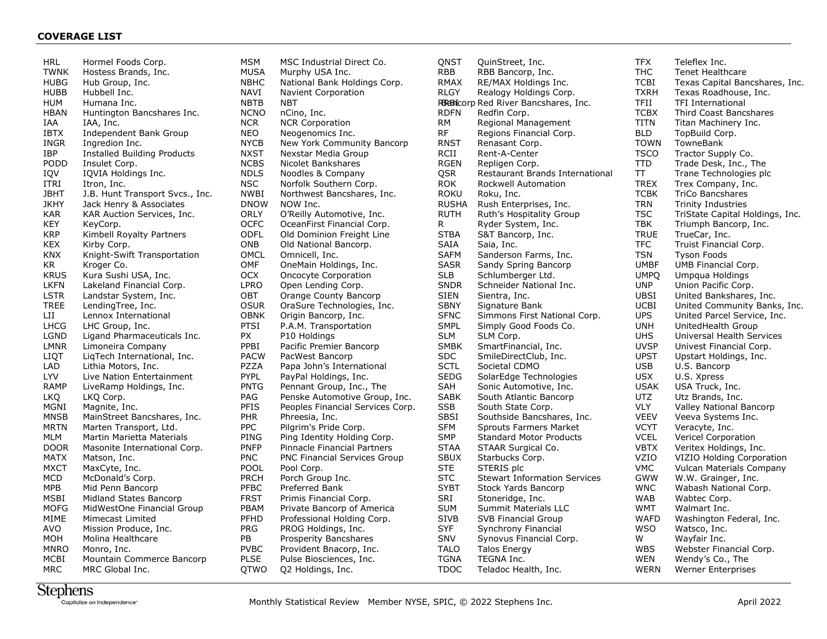HRL Hormel Foods Corp. TWNK Hostess Brands, Inc.<br>HUBG Hub Group, Inc. Hub Group, Inc. HUBB Hubbell Inc. HUM Humana Inc. HBAN Huntington Bancshares Inc. IAA IAA, Inc. IBTX Independent Bank Group INGR Ingredion Inc. IBP Installed Building Products<br>PODD Insulet Corp. PODD Insulet Corp.<br>IQV IQVIA Holdin IQVIA Holdings Inc. ITRI Itron, Inc. JBHT J.B. Hunt Transport Svcs., Inc. JKHY Jack Henry & Associates KAR KAR Auction Services, Inc. KEY KeyCorp. KRP Kimbell Royalty Partners KEX Kirby Corp.<br>KNX Knight-Swif KNX Knight-Swift Transportation<br>KR Kroger Co. Kroger Co. KRUS Kura Sushi USA, Inc. LKFN Lakeland Financial Corp. LSTR Landstar System, Inc.<br>TREE LendingTree, Inc. LendingTree, Inc. LII Lennox International LHCG LHC Group, Inc. LGND Ligand Pharmaceuticals Inc. LMNR Limoneira Company LIQT LiqTech International, Inc. LAD Lithia Motors, Inc. LYV Live Nation Entertainment<br>RAMP LiveRamp Holdings, Inc. LiveRamp Holdings, Inc. LKQ LKQ Corp. MGNI Magnite, Inc. MNSB MainStreet Bancshares, Inc. MRTN Marten Transport, Ltd. MLM Martin Marietta Materials DOOR Masonite International Corp. MATX Matson, Inc. MXCT MaxCyte, Inc.<br>MCD McDonald's Co McDonald's Corp. MPB Mid Penn Bancorp MSBI Midland States Bancorp MOFG MidWestOne Financial Group MIME Mimecast Limited AVO Mission Produce, Inc. MOH Molina Healthcare MNRO Monro, Inc.<br>MCBI Mountain Co Mountain Commerce Bancorp MRC MRC Global Inc.

MSM MSC Industrial Direct Co. MUSA Murphy USA Inc. NBHC National Bank Holdings Corp. NAVI Navient Corporation NBTB NBT Bancorp NCNO nCino, Inc. NCR NCR Corporation NEO Neogenomics Inc. NYCB New York Community Bancorp NXST Nexstar Media Group NCBS Nicolet Bankshares<br>NDLS Noodles & Company Noodles & Company NSC Norfolk Southern Corp. NWBI Northwest Bancshares, Inc. DNOW NOW Inc. ORLY O'Reilly Automotive, Inc. OCFC OceanFirst Financial Corp. ODFL Old Dominion Freight Line ONB Old National Bancorp.<br>OMCL Omnicell, Inc. OMCL Omnicell, Inc.<br>OMF OneMain Hold OneMain Holdings, Inc. OCX Oncocyte Corporation LPRO Open Lending Corp. OBT Orange County Bancorp OSUR OraSure Technologies, Inc. OBNK Origin Bancorp, Inc. PTSI P.A.M. Transportation PX P10 Holdings PPBI Pacific Premier Bancorp PACW PacWest Bancorp PZZA Papa John's International PYPL PayPal Holdings, Inc.<br>PNTG Pennant Group, Inc., Pennant Group, Inc., The PAG Penske Automotive Group, Inc. PFIS Peoples Financial Services Corp. PHR Phreesia, Inc.<br>PPC Pilgrim's Pride Pilgrim's Pride Corp. PING Ping Identity Holding Corp. PNFP Pinnacle Financial Partners PNC PNC Financial Services Group<br>POOL Pool Corp. POOL Pool Corp.<br>PRCH Porch Grou Porch Group Inc. PFBC Preferred Bank FRST Primis Financial Corp. PBAM Private Bancorp of America<br>PFHD Professional Holding Corp. Professional Holding Corp. PRG PROG Holdings, Inc. PB Prosperity Bancshares<br>PVBC Provident Bnacorp, Inc PVBC Provident Bnacorp, Inc.<br>PLSE Pulse Biosciences, Inc. Pulse Biosciences, Inc. QTWO Q2 Holdings, Inc.

| QNST         | QuinStreet, Inc.                     | <b>TFX</b>  | Teleflex Inc.                   |
|--------------|--------------------------------------|-------------|---------------------------------|
| <b>RBB</b>   | RBB Bancorp, Inc.                    | THC         | <b>Tenet Healthcare</b>         |
| <b>RMAX</b>  | RE/MAX Holdings Inc.                 | <b>TCBI</b> | Texas Capital Bancshares, Inc.  |
| <b>RLGY</b>  | Realogy Holdings Corp.               | <b>TXRH</b> | Texas Roadhouse, Inc.           |
|              | RBaBicorp Red River Bancshares, Inc. | TFII        | <b>TFI International</b>        |
| <b>RDFN</b>  | Redfin Corp.                         | <b>TCBX</b> | <b>Third Coast Bancshares</b>   |
| RМ           | Regional Management                  | <b>TITN</b> | Titan Machinery Inc.            |
| RF           | Regions Financial Corp.              | <b>BLD</b>  | TopBuild Corp.                  |
| <b>RNST</b>  | Renasant Corp.                       | <b>TOWN</b> | TowneBank                       |
| RCII         | Rent-A-Center                        | <b>TSCO</b> | Tractor Supply Co.              |
| <b>RGEN</b>  | Repligen Corp.                       | <b>TTD</b>  | Trade Desk, Inc., The           |
| QSR          | Restaurant Brands International      | π           | Trane Technologies plc          |
| <b>ROK</b>   | Rockwell Automation                  | <b>TREX</b> | Trex Company, Inc.              |
| ROKU         | Roku, Inc.                           | <b>TCBK</b> | <b>TriCo Bancshares</b>         |
| <b>RUSHA</b> | Rush Enterprises, Inc.               | <b>TRN</b>  | <b>Trinity Industries</b>       |
| <b>RUTH</b>  | Ruth's Hospitality Group             | <b>TSC</b>  | TriState Capital Holdings, Inc. |
| R            | Ryder System, Inc.                   | TBK         | Triumph Bancorp, Inc.           |
| <b>STBA</b>  | S&T Bancorp, Inc.                    | <b>TRUE</b> | TrueCar, Inc.                   |
| SAIA         | Saia, Inc.                           | <b>TFC</b>  | Truist Financial Corp.          |
| <b>SAFM</b>  | Sanderson Farms, Inc.                | <b>TSN</b>  | <b>Tyson Foods</b>              |
| SASR         | Sandy Spring Bancorp                 | UMBF        | UMB Financial Corp.             |
| <b>SLB</b>   | Schlumberger Ltd.                    | <b>UMPO</b> | Umpqua Holdings                 |
| SNDR         | Schneider National Inc.              | <b>UNP</b>  | Union Pacific Corp.             |
| SIEN         | Sientra, Inc.                        | UBSI        | United Bankshares, Inc.         |
| <b>SBNY</b>  | Signature Bank                       | <b>UCBI</b> | United Community Banks, Inc.    |
| <b>SFNC</b>  | Simmons First National Corp.         | <b>UPS</b>  | United Parcel Service, Inc.     |
| <b>SMPL</b>  | Simply Good Foods Co.                | <b>UNH</b>  | UnitedHealth Group              |
| <b>SLM</b>   | SLM Corp.                            | <b>UHS</b>  | Universal Health Services       |
| <b>SMBK</b>  | SmartFinancial, Inc.                 | <b>UVSP</b> | Univest Financial Corp.         |
| SDC          | SmileDirectClub, Inc.                | <b>UPST</b> | Upstart Holdings, Inc.          |
| <b>SCTL</b>  | Societal CDMO                        | <b>USB</b>  | U.S. Bancorp                    |
| <b>SEDG</b>  | SolarEdge Technologies               | <b>USX</b>  | U.S. Xpress                     |
| SAH          | Sonic Automotive, Inc.               | <b>USAK</b> | USA Truck, Inc.                 |
| SABK         | South Atlantic Bancorp               | UTZ         | Utz Brands, Inc.                |
| SSB          | South State Corp.                    | <b>VLY</b>  | Valley National Bancorp         |
| SBSI         | Southside Bancshares, Inc.           | <b>VEEV</b> | Veeva Systems Inc.              |
| <b>SFM</b>   | <b>Sprouts Farmers Market</b>        | <b>VCYT</b> | Veracyte, Inc.                  |
| SMP.         | <b>Standard Motor Products</b>       | <b>VCEL</b> | <b>Vericel Corporation</b>      |
| <b>STAA</b>  | STAAR Surgical Co.                   | <b>VBTX</b> | Veritex Holdings, Inc.          |
| <b>SBUX</b>  | Starbucks Corp.                      | VZIO        | VIZIO Holding Corporation       |
| <b>STE</b>   | STERIS plc                           | <b>VMC</b>  | Vulcan Materials Company        |
| <b>STC</b>   | <b>Stewart Information Services</b>  | <b>GWW</b>  | W.W. Grainger, Inc.             |
| <b>SYBT</b>  | Stock Yards Bancorp                  | <b>WNC</b>  | Wabash National Corp.           |
| SRI          | Stoneridge, Inc.                     | <b>WAB</b>  | Wabtec Corp.                    |
| <b>SUM</b>   | Summit Materials LLC                 | <b>WMT</b>  | Walmart Inc.                    |
| SIVB         | SVB Financial Group                  | <b>WAFD</b> | Washington Federal, Inc.        |
| <b>SYF</b>   | Synchrony Financial                  | <b>WSO</b>  | Watsco, Inc.                    |
| <b>SNV</b>   | Synovus Financial Corp.              | W           | Wayfair Inc.                    |
| <b>TALO</b>  | <b>Talos Energy</b>                  | <b>WBS</b>  | Webster Financial Corp.         |
| <b>TGNA</b>  | TEGNA Inc.                           | <b>WEN</b>  | Wendy's Co., The                |
| TDOC         | Teladoc Health, Inc.                 | WERN        | <b>Werner Enterprises</b>       |
|              |                                      |             |                                 |

## **Stephens**

Capitalize on Independence<sup>®</sup>